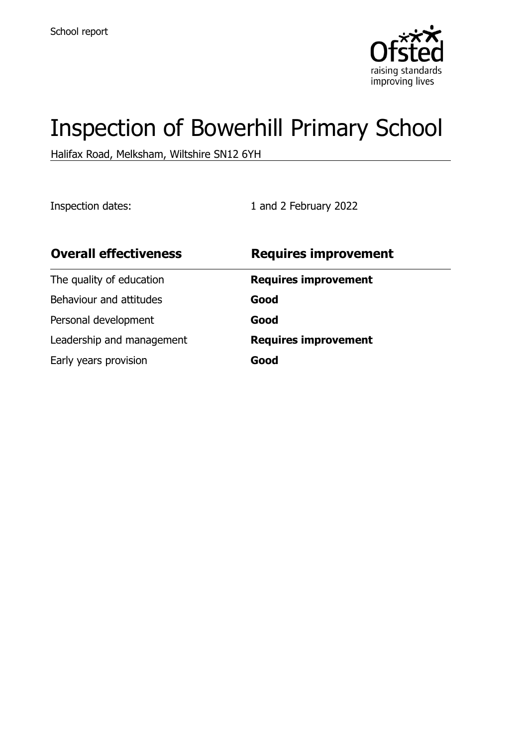

# Inspection of Bowerhill Primary School

Halifax Road, Melksham, Wiltshire SN12 6YH

Inspection dates: 1 and 2 February 2022

| <b>Overall effectiveness</b> | <b>Requires improvement</b> |
|------------------------------|-----------------------------|
| The quality of education     | <b>Requires improvement</b> |
| Behaviour and attitudes      | Good                        |
| Personal development         | Good                        |
| Leadership and management    | <b>Requires improvement</b> |
| Early years provision        | Good                        |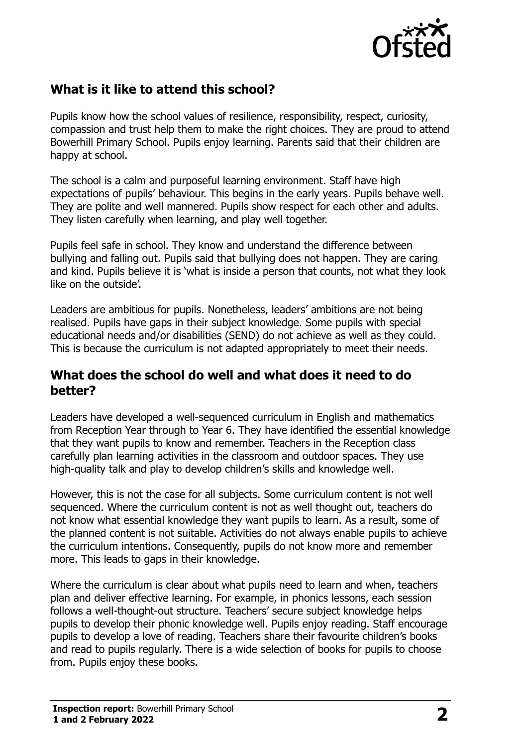

## **What is it like to attend this school?**

Pupils know how the school values of resilience, responsibility, respect, curiosity, compassion and trust help them to make the right choices. They are proud to attend Bowerhill Primary School. Pupils enjoy learning. Parents said that their children are happy at school.

The school is a calm and purposeful learning environment. Staff have high expectations of pupils' behaviour. This begins in the early years. Pupils behave well. They are polite and well mannered. Pupils show respect for each other and adults. They listen carefully when learning, and play well together.

Pupils feel safe in school. They know and understand the difference between bullying and falling out. Pupils said that bullying does not happen. They are caring and kind. Pupils believe it is 'what is inside a person that counts, not what they look like on the outside'.

Leaders are ambitious for pupils. Nonetheless, leaders' ambitions are not being realised. Pupils have gaps in their subject knowledge. Some pupils with special educational needs and/or disabilities (SEND) do not achieve as well as they could. This is because the curriculum is not adapted appropriately to meet their needs.

## **What does the school do well and what does it need to do better?**

Leaders have developed a well-sequenced curriculum in English and mathematics from Reception Year through to Year 6. They have identified the essential knowledge that they want pupils to know and remember. Teachers in the Reception class carefully plan learning activities in the classroom and outdoor spaces. They use high-quality talk and play to develop children's skills and knowledge well.

However, this is not the case for all subjects. Some curriculum content is not well sequenced. Where the curriculum content is not as well thought out, teachers do not know what essential knowledge they want pupils to learn. As a result, some of the planned content is not suitable. Activities do not always enable pupils to achieve the curriculum intentions. Consequently, pupils do not know more and remember more. This leads to gaps in their knowledge.

Where the curriculum is clear about what pupils need to learn and when, teachers plan and deliver effective learning. For example, in phonics lessons, each session follows a well-thought-out structure. Teachers' secure subject knowledge helps pupils to develop their phonic knowledge well. Pupils enjoy reading. Staff encourage pupils to develop a love of reading. Teachers share their favourite children's books and read to pupils regularly. There is a wide selection of books for pupils to choose from. Pupils enjoy these books.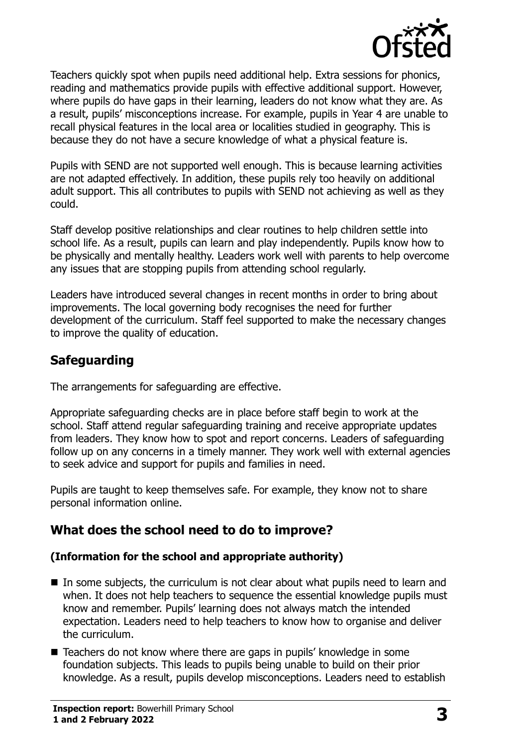

Teachers quickly spot when pupils need additional help. Extra sessions for phonics, reading and mathematics provide pupils with effective additional support. However, where pupils do have gaps in their learning, leaders do not know what they are. As a result, pupils' misconceptions increase. For example, pupils in Year 4 are unable to recall physical features in the local area or localities studied in geography. This is because they do not have a secure knowledge of what a physical feature is.

Pupils with SEND are not supported well enough. This is because learning activities are not adapted effectively. In addition, these pupils rely too heavily on additional adult support. This all contributes to pupils with SEND not achieving as well as they could.

Staff develop positive relationships and clear routines to help children settle into school life. As a result, pupils can learn and play independently. Pupils know how to be physically and mentally healthy. Leaders work well with parents to help overcome any issues that are stopping pupils from attending school regularly.

Leaders have introduced several changes in recent months in order to bring about improvements. The local governing body recognises the need for further development of the curriculum. Staff feel supported to make the necessary changes to improve the quality of education.

## **Safeguarding**

The arrangements for safeguarding are effective.

Appropriate safeguarding checks are in place before staff begin to work at the school. Staff attend regular safeguarding training and receive appropriate updates from leaders. They know how to spot and report concerns. Leaders of safeguarding follow up on any concerns in a timely manner. They work well with external agencies to seek advice and support for pupils and families in need.

Pupils are taught to keep themselves safe. For example, they know not to share personal information online.

## **What does the school need to do to improve?**

#### **(Information for the school and appropriate authority)**

- $\blacksquare$  In some subjects, the curriculum is not clear about what pupils need to learn and when. It does not help teachers to sequence the essential knowledge pupils must know and remember. Pupils' learning does not always match the intended expectation. Leaders need to help teachers to know how to organise and deliver the curriculum.
- Teachers do not know where there are gaps in pupils' knowledge in some foundation subjects. This leads to pupils being unable to build on their prior knowledge. As a result, pupils develop misconceptions. Leaders need to establish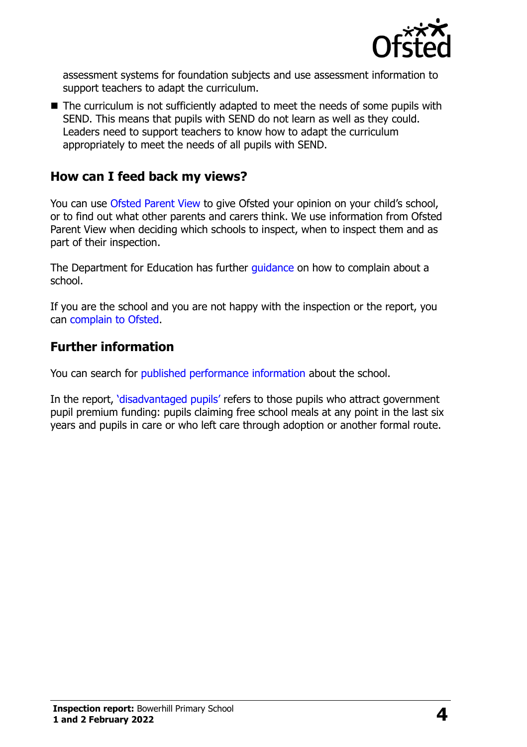

assessment systems for foundation subjects and use assessment information to support teachers to adapt the curriculum.

■ The curriculum is not sufficiently adapted to meet the needs of some pupils with SEND. This means that pupils with SEND do not learn as well as they could. Leaders need to support teachers to know how to adapt the curriculum appropriately to meet the needs of all pupils with SEND.

## **How can I feed back my views?**

You can use [Ofsted Parent View](http://parentview.ofsted.gov.uk/) to give Ofsted your opinion on your child's school, or to find out what other parents and carers think. We use information from Ofsted Parent View when deciding which schools to inspect, when to inspect them and as part of their inspection.

The Department for Education has further quidance on how to complain about a school.

If you are the school and you are not happy with the inspection or the report, you can [complain to Ofsted.](http://www.gov.uk/complain-ofsted-report)

### **Further information**

You can search for [published performance information](http://www.compare-school-performance.service.gov.uk/) about the school.

In the report, '[disadvantaged pupils](http://www.gov.uk/guidance/pupil-premium-information-for-schools-and-alternative-provision-settings)' refers to those pupils who attract government pupil premium funding: pupils claiming free school meals at any point in the last six years and pupils in care or who left care through adoption or another formal route.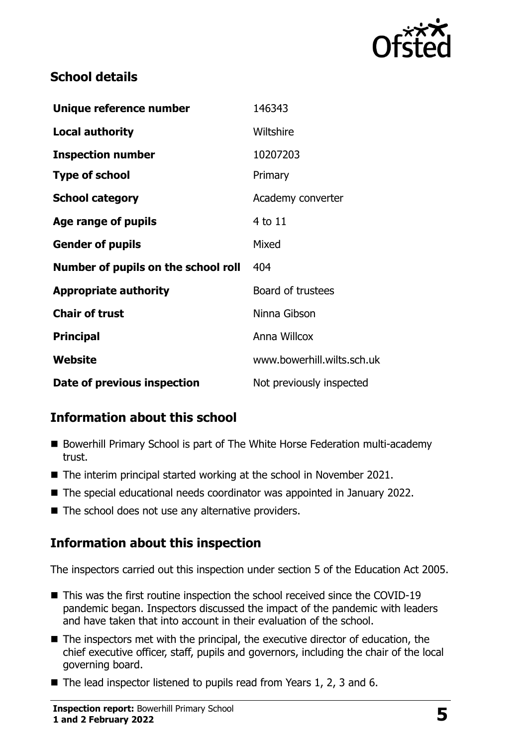

## **School details**

| Unique reference number             | 146343                     |
|-------------------------------------|----------------------------|
| <b>Local authority</b>              | Wiltshire                  |
| <b>Inspection number</b>            | 10207203                   |
| <b>Type of school</b>               | Primary                    |
| <b>School category</b>              | Academy converter          |
| Age range of pupils                 | 4 to 11                    |
| <b>Gender of pupils</b>             | Mixed                      |
| Number of pupils on the school roll | 404                        |
| <b>Appropriate authority</b>        | Board of trustees          |
| <b>Chair of trust</b>               | Ninna Gibson               |
| <b>Principal</b>                    | Anna Willcox               |
| Website                             | www.bowerhill.wilts.sch.uk |
| Date of previous inspection         | Not previously inspected   |

# **Information about this school**

- Bowerhill Primary School is part of The White Horse Federation multi-academy trust.
- The interim principal started working at the school in November 2021.
- The special educational needs coordinator was appointed in January 2022.
- $\blacksquare$  The school does not use any alternative providers.

## **Information about this inspection**

The inspectors carried out this inspection under section 5 of the Education Act 2005.

- This was the first routine inspection the school received since the COVID-19 pandemic began. Inspectors discussed the impact of the pandemic with leaders and have taken that into account in their evaluation of the school.
- The inspectors met with the principal, the executive director of education, the chief executive officer, staff, pupils and governors, including the chair of the local governing board.
- $\blacksquare$  The lead inspector listened to pupils read from Years 1, 2, 3 and 6.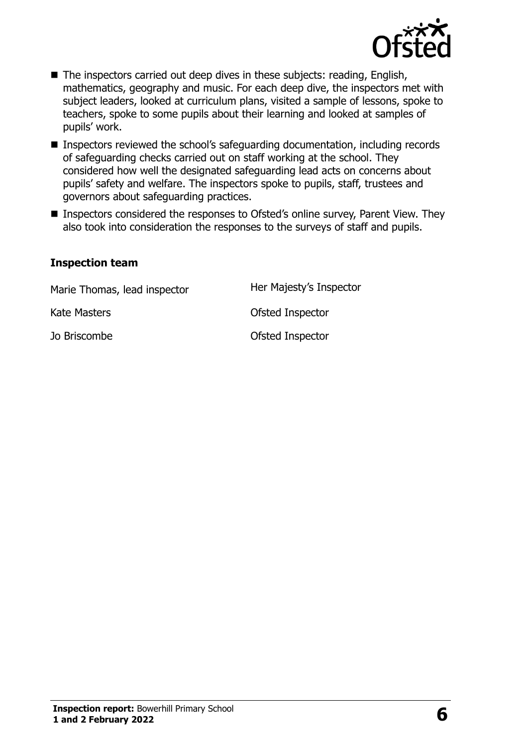

- The inspectors carried out deep dives in these subjects: reading, English, mathematics, geography and music. For each deep dive, the inspectors met with subject leaders, looked at curriculum plans, visited a sample of lessons, spoke to teachers, spoke to some pupils about their learning and looked at samples of pupils' work.
- Inspectors reviewed the school's safeguarding documentation, including records of safeguarding checks carried out on staff working at the school. They considered how well the designated safeguarding lead acts on concerns about pupils' safety and welfare. The inspectors spoke to pupils, staff, trustees and governors about safeguarding practices.
- Inspectors considered the responses to Ofsted's online survey, Parent View. They also took into consideration the responses to the surveys of staff and pupils.

#### **Inspection team**

| Marie Thomas, lead inspector | Her Majesty's Inspector |
|------------------------------|-------------------------|
| Kate Masters                 | Ofsted Inspector        |
| Jo Briscombe                 | Ofsted Inspector        |